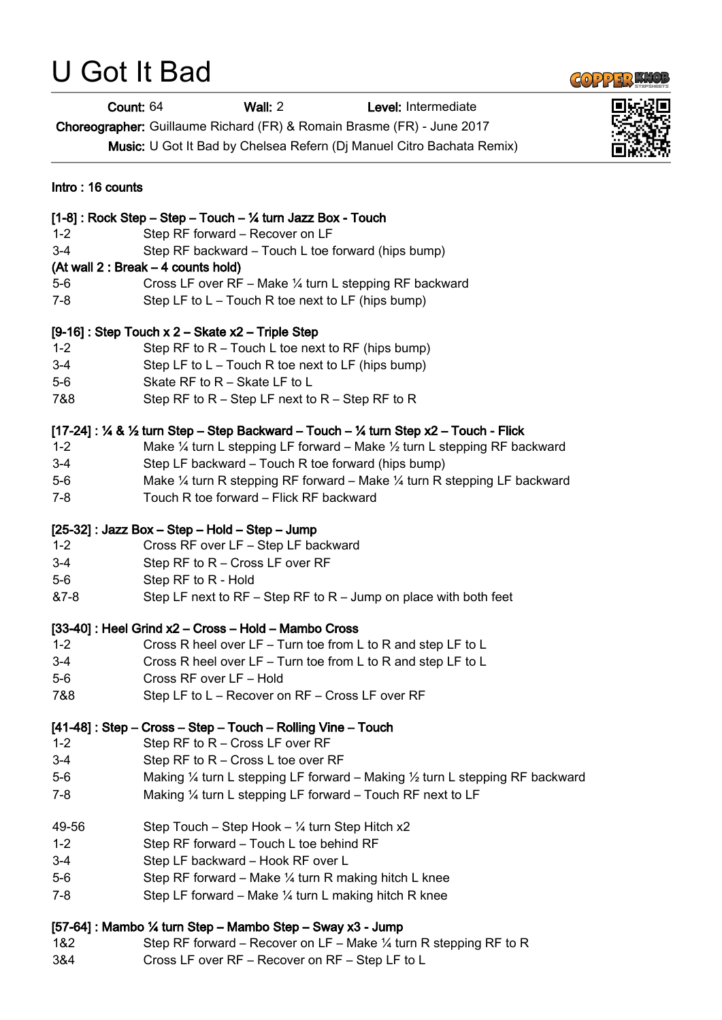# U Got It Bad



Count: 64 Wall: 2 Level: Intermediate

Choreographer: Guillaume Richard (FR) & Romain Brasme (FR) - June 2017

Music: U Got It Bad by Chelsea Refern (Dj Manuel Citro Bachata Remix)

| Intro: 16 counts                                                                     |                                                                                                                                                                                                                                                        |
|--------------------------------------------------------------------------------------|--------------------------------------------------------------------------------------------------------------------------------------------------------------------------------------------------------------------------------------------------------|
| $1 - 2$<br>$3 - 4$<br>$5-6$                                                          | [1-8]: Rock Step - Step - Touch - 1/4 turn Jazz Box - Touch<br>Step RF forward - Recover on LF<br>Step RF backward – Touch L toe forward (hips bump)<br>(At wall 2 : Break – 4 counts hold)<br>Cross LF over RF - Make 1/4 turn L stepping RF backward |
| 7-8                                                                                  | Step LF to $L$ – Touch R toe next to LF (hips bump)                                                                                                                                                                                                    |
| [9-16]: Step Touch x 2 - Skate x2 - Triple Step                                      |                                                                                                                                                                                                                                                        |
| $1 - 2$                                                                              | Step RF to $R$ – Touch L toe next to RF (hips bump)                                                                                                                                                                                                    |
| $3-4$                                                                                | Step LF to $L$ – Touch R toe next to LF (hips bump)                                                                                                                                                                                                    |
| $5-6$                                                                                | Skate RF to R - Skate LF to L                                                                                                                                                                                                                          |
| 7&8                                                                                  | Step RF to $R$ – Step LF next to $R$ – Step RF to R                                                                                                                                                                                                    |
| $[17-24]$ : ¼ & ½ turn Step – Step Backward – Touch – ¼ turn Step x2 – Touch - Flick |                                                                                                                                                                                                                                                        |
| $1 - 2$                                                                              | Make $\frac{1}{4}$ turn L stepping LF forward – Make $\frac{1}{2}$ turn L stepping RF backward                                                                                                                                                         |
| $3 - 4$                                                                              | Step LF backward - Touch R toe forward (hips bump)                                                                                                                                                                                                     |
| $5-6$                                                                                | Make $\frac{1}{4}$ turn R stepping RF forward – Make $\frac{1}{4}$ turn R stepping LF backward                                                                                                                                                         |
| $7 - 8$                                                                              | Touch R toe forward - Flick RF backward                                                                                                                                                                                                                |
| [25-32]: Jazz Box - Step - Hold - Step - Jump                                        |                                                                                                                                                                                                                                                        |
| $1 - 2$                                                                              | Cross RF over LF - Step LF backward                                                                                                                                                                                                                    |
| $3 - 4$                                                                              | Step RF to R - Cross LF over RF                                                                                                                                                                                                                        |
| $5-6$                                                                                | Step RF to R - Hold                                                                                                                                                                                                                                    |
| &7-8                                                                                 | Step LF next to RF – Step RF to $R$ – Jump on place with both feet                                                                                                                                                                                     |
| [33-40]: Heel Grind x2 - Cross - Hold - Mambo Cross                                  |                                                                                                                                                                                                                                                        |
| $1 - 2$                                                                              | Cross R heel over LF - Turn toe from L to R and step LF to L                                                                                                                                                                                           |
| $3-4$                                                                                | Cross R heel over LF - Turn toe from L to R and step LF to L                                                                                                                                                                                           |
| $5-6$                                                                                | Cross RF over LF - Hold                                                                                                                                                                                                                                |
| 7&8                                                                                  | Step LF to L – Recover on RF – Cross LF over RF                                                                                                                                                                                                        |
| [41-48]: Step - Cross - Step - Touch - Rolling Vine - Touch                          |                                                                                                                                                                                                                                                        |
| $1 - 2$                                                                              | Step RF to R - Cross LF over RF                                                                                                                                                                                                                        |
| $3-4$                                                                                | Step RF to R - Cross L toe over RF                                                                                                                                                                                                                     |
| $5-6$                                                                                | Making $\frac{1}{4}$ turn L stepping LF forward – Making $\frac{1}{2}$ turn L stepping RF backward                                                                                                                                                     |
| $7 - 8$                                                                              | Making $\frac{1}{4}$ turn L stepping LF forward – Touch RF next to LF                                                                                                                                                                                  |
| 49-56                                                                                | Step Touch – Step Hook – 1/4 turn Step Hitch x2                                                                                                                                                                                                        |
| $1 - 2$                                                                              | Step RF forward - Touch L toe behind RF                                                                                                                                                                                                                |
| $3 - 4$                                                                              | Step LF backward - Hook RF over L                                                                                                                                                                                                                      |
| $5-6$                                                                                | Step RF forward – Make $\frac{1}{4}$ turn R making hitch L knee                                                                                                                                                                                        |
| $7 - 8$                                                                              | Step LF forward – Make $\frac{1}{4}$ turn L making hitch R knee                                                                                                                                                                                        |
| [57-64]: Mambo ¼ turn Step - Mambo Step - Sway x3 - Jump                             |                                                                                                                                                                                                                                                        |
| 1&2                                                                                  | Step RF forward – Recover on LF – Make $\frac{1}{4}$ turn R stepping RF to R                                                                                                                                                                           |
| 3&4                                                                                  | Cross LF over RF - Recover on RF - Step LF to L                                                                                                                                                                                                        |